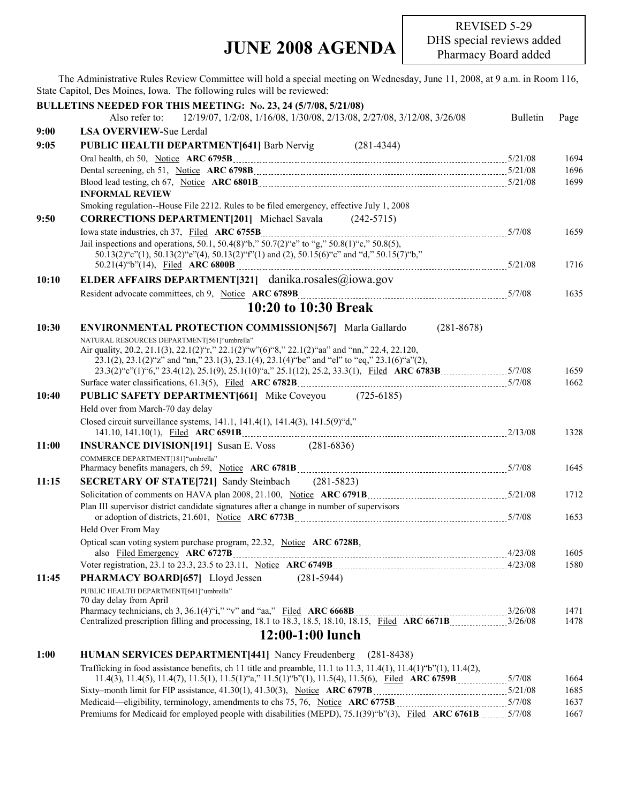## **JUNE 2008 AGENDA**

The Administrative Rules Review Committee will hold a special meeting on Wednesday, June 11, 2008, at 9 a.m. in Room 116, State Capitol, Des Moines, Iowa. The following rules will be reviewed:

|       | BULLETINS NEEDED FOR THIS MEETING: No. 23, 24 (5/7/08, 5/21/08)                                                                                                                            |                 |      |
|-------|--------------------------------------------------------------------------------------------------------------------------------------------------------------------------------------------|-----------------|------|
|       | 12/19/07, 1/2/08, 1/16/08, 1/30/08, 2/13/08, 2/27/08, 3/12/08, 3/26/08<br>Also refer to:                                                                                                   | <b>Bulletin</b> | Page |
| 9:00  | <b>LSA OVERVIEW-Sue Lerdal</b>                                                                                                                                                             |                 |      |
| 9:05  | PUBLIC HEALTH DEPARTMENT[641] Barb Nervig<br>$(281 - 4344)$                                                                                                                                |                 |      |
|       |                                                                                                                                                                                            |                 | 1694 |
|       |                                                                                                                                                                                            |                 | 1696 |
|       |                                                                                                                                                                                            |                 | 1699 |
|       | <b>INFORMAL REVIEW</b>                                                                                                                                                                     |                 |      |
|       | Smoking regulation--House File 2212. Rules to be filed emergency, effective July 1, 2008                                                                                                   |                 |      |
| 9:50  | <b>CORRECTIONS DEPARTMENT[201]</b> Michael Savala (242-5715)                                                                                                                               |                 |      |
|       |                                                                                                                                                                                            |                 | 1659 |
|       | Jail inspections and operations, 50.1, 50.4(8) "b," 50.7(2) "e" to "g," 50.8(1) "c," 50.8(5),<br>50.13(2)"c"(1), 50.13(2)"e"(4), 50.13(2)"f"(1) and (2), 50.15(6)"c" and "d," 50.15(7)"b," |                 |      |
|       |                                                                                                                                                                                            |                 | 1716 |
| 10:10 | ELDER AFFAIRS DEPARTMENT[321] danika.rosales@iowa.gov                                                                                                                                      |                 |      |
|       |                                                                                                                                                                                            |                 | 1635 |
|       |                                                                                                                                                                                            |                 |      |
|       | 10:20 to 10:30 Break                                                                                                                                                                       |                 |      |
| 10:30 | $(281 - 8678)$<br><b>ENVIRONMENTAL PROTECTION COMMISSION[567]</b> Marla Gallardo                                                                                                           |                 |      |
|       | NATURAL RESOURCES DEPARTMENT[561]"umbrella"                                                                                                                                                |                 |      |
|       | Air quality, 20.2, 21.1(3), 22.1(2)"r," 22.1(2)"w"(6)"8," 22.1(2)"aa" and "nn," 22.4, 22.120,                                                                                              |                 |      |
|       | 23.1(2), 23.1(2) "z" and "nn," 23.1(3), 23.1(4), 23.1(4) "be" and "el" to "eq," 23.1(6) "a"(2),                                                                                            |                 | 1659 |
|       |                                                                                                                                                                                            |                 | 1662 |
| 10:40 | <b>PUBLIC SAFETY DEPARTMENT[661]</b> Mike Coveyou (725-6185)                                                                                                                               |                 |      |
|       | Held over from March-70 day delay                                                                                                                                                          |                 |      |
|       | Closed circuit surveillance systems, 141.1, 141.4(1), 141.4(3), 141.5(9) "d,"                                                                                                              |                 |      |
|       |                                                                                                                                                                                            |                 | 1328 |
| 11:00 | <b>INSURANCE DIVISION[191]</b> Susan E. Voss (281-6836)                                                                                                                                    |                 |      |
|       | COMMERCE DEPARTMENT[181]"umbrella"                                                                                                                                                         |                 | 1645 |
| 11:15 |                                                                                                                                                                                            |                 |      |
|       | <b>SECRETARY OF STATE[721]</b> Sandy Steinbach (281-5823)                                                                                                                                  |                 |      |
|       | Plan III supervisor district candidate signatures after a change in number of supervisors                                                                                                  |                 | 1712 |
|       |                                                                                                                                                                                            |                 | 1653 |
|       | Held Over From May                                                                                                                                                                         |                 |      |
|       | Optical scan voting system purchase program, 22.32, Notice ARC 6728B,                                                                                                                      |                 |      |
|       |                                                                                                                                                                                            |                 | 1605 |
|       |                                                                                                                                                                                            |                 | 1580 |
| 11:45 | $(281-5944)$<br>PHARMACY BOARD[657] Lloyd Jessen                                                                                                                                           |                 |      |
|       | PUBLIC HEALTH DEPARTMENT[641] "umbrella"<br>70 day delay from April                                                                                                                        |                 |      |
|       |                                                                                                                                                                                            |                 | 1471 |
|       |                                                                                                                                                                                            |                 | 1478 |
|       | 12:00-1:00 lunch                                                                                                                                                                           |                 |      |
| 1:00  | <b>HUMAN SERVICES DEPARTMENT[441]</b> Nancy Freudenberg<br>$(281 - 8438)$                                                                                                                  |                 |      |
|       | Trafficking in food assistance benefits, ch 11 title and preamble, 11.1 to 11.3, 11.4(1), 11.4(1) $\mathcal{O}(1)$ , 11.4(2),                                                              |                 |      |
|       |                                                                                                                                                                                            |                 | 1664 |
|       |                                                                                                                                                                                            |                 | 1685 |
|       |                                                                                                                                                                                            |                 | 1637 |
|       |                                                                                                                                                                                            |                 | 1667 |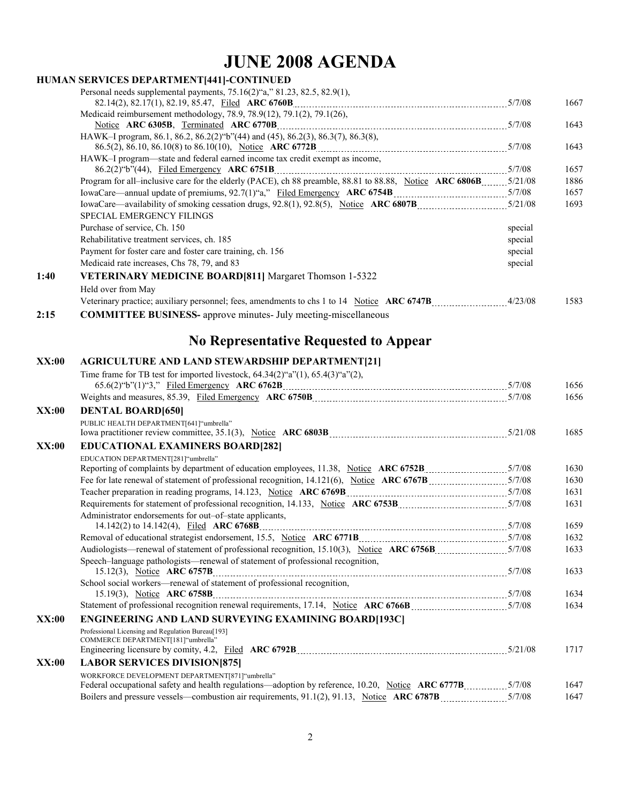## **JUNE 2008 AGENDA**

|              | HUMAN SERVICES DEPARTMENT[441]-CONTINUED                                                                        |         |              |
|--------------|-----------------------------------------------------------------------------------------------------------------|---------|--------------|
|              | Personal needs supplemental payments, $75.16(2)$ "a," $81.23$ , $82.5$ , $82.9(1)$ ,                            |         |              |
|              |                                                                                                                 |         | 1667         |
|              | Medicaid reimbursement methodology, 78.9, 78.9(12), 79.1(2), 79.1(26),                                          |         | 1643         |
|              | HAWK-I program, 86.1, 86.2, 86.2(2) "b"(44) and (45), 86.2(3), 86.3(7), 86.3(8),                                |         | 1643         |
|              | HAWK-I program—state and federal earned income tax credit exempt as income,                                     |         | 1657         |
|              | Program for all-inclusive care for the elderly (PACE), ch 88 preamble, 88.81 to 88.88, Notice ARC 6806B 5/21/08 |         | 1886         |
|              |                                                                                                                 |         | 1657         |
|              |                                                                                                                 |         | 1693         |
|              | <b>SPECIAL EMERGENCY FILINGS</b>                                                                                |         |              |
|              | Purchase of service, Ch. 150                                                                                    | special |              |
|              | Rehabilitative treatment services, ch. 185                                                                      | special |              |
|              | Payment for foster care and foster care training, ch. 156                                                       | special |              |
|              | Medicaid rate increases, Chs 78, 79, and 83                                                                     | special |              |
| 1:40         | VETERINARY MEDICINE BOARD[811] Margaret Thomson 1-5322                                                          |         |              |
|              | Held over from May                                                                                              |         |              |
|              | Veterinary practice; auxiliary personnel; fees, amendments to chs 1 to 14 Notice ARC 6747B 4/23/08              |         | 1583         |
| 2:15         | <b>COMMITTEE BUSINESS-</b> approve minutes- July meeting-miscellaneous                                          |         |              |
|              |                                                                                                                 |         |              |
|              | <b>No Representative Requested to Appear</b>                                                                    |         |              |
| <b>XX:00</b> | <b>AGRICULTURE AND LAND STEWARDSHIP DEPARTMENT[21]</b>                                                          |         |              |
|              | Time frame for TB test for imported livestock, $64.34(2)$ "a" $(1)$ , $65.4(3)$ "a" $(2)$ ,                     |         |              |
|              |                                                                                                                 |         | 1656         |
|              |                                                                                                                 |         | 1656         |
| XX:00        | <b>DENTAL BOARD[650]</b>                                                                                        |         |              |
|              | PUBLIC HEALTH DEPARTMENT[641] "umbrella"                                                                        |         |              |
|              |                                                                                                                 |         | 1685         |
| XX:00        | <b>EDUCATIONAL EXAMINERS BOARD[282]</b>                                                                         |         |              |
|              | EDUCATION DEPARTMENT[281]"umbrella"                                                                             |         |              |
|              |                                                                                                                 |         | 1630         |
|              |                                                                                                                 |         | 1630         |
|              | Teacher preparation in reading programs, 14.123, Notice ARC 6769B [11, 2010] [12, 2010] [12, 2010] [5/7/08      |         | 1631<br>1631 |
|              | Administrator endorsements for out-of-state applicants,                                                         |         |              |
|              |                                                                                                                 |         | 1659         |
|              |                                                                                                                 |         | 1632         |
|              |                                                                                                                 |         | 1633         |
|              | Speech-language pathologists—renewal of statement of professional recognition,                                  |         |              |
|              |                                                                                                                 |         | 1633         |
|              | School social workers—renewal of statement of professional recognition,                                         |         |              |
|              | 15.19(3), Notice ARC 6758B                                                                                      |         | 1634<br>1634 |
|              |                                                                                                                 |         |              |
| XX:00        | <b>ENGINEERING AND LAND SURVEYING EXAMINING BOARD[193C]</b>                                                     |         |              |
|              | Professional Licensing and Regulation Bureau[193]<br>COMMERCE DEPARTMENT[181]"umbrella"                         |         |              |
|              |                                                                                                                 |         | 1717         |
| <b>XX:00</b> | <b>LABOR SERVICES DIVISION[875]</b>                                                                             |         |              |

WORKFORCE DEVELOPMENT DEPARTMENT[871]"umbrella" Federal occupational safety and health regulations—adoption by reference, 10.20, Notice ARC 6777B 51/08 1647 Boilers and pressure vessels—combustion air requirements, 91.1(2), 91.13, Notice **ARC 6787B** 577/08 1647